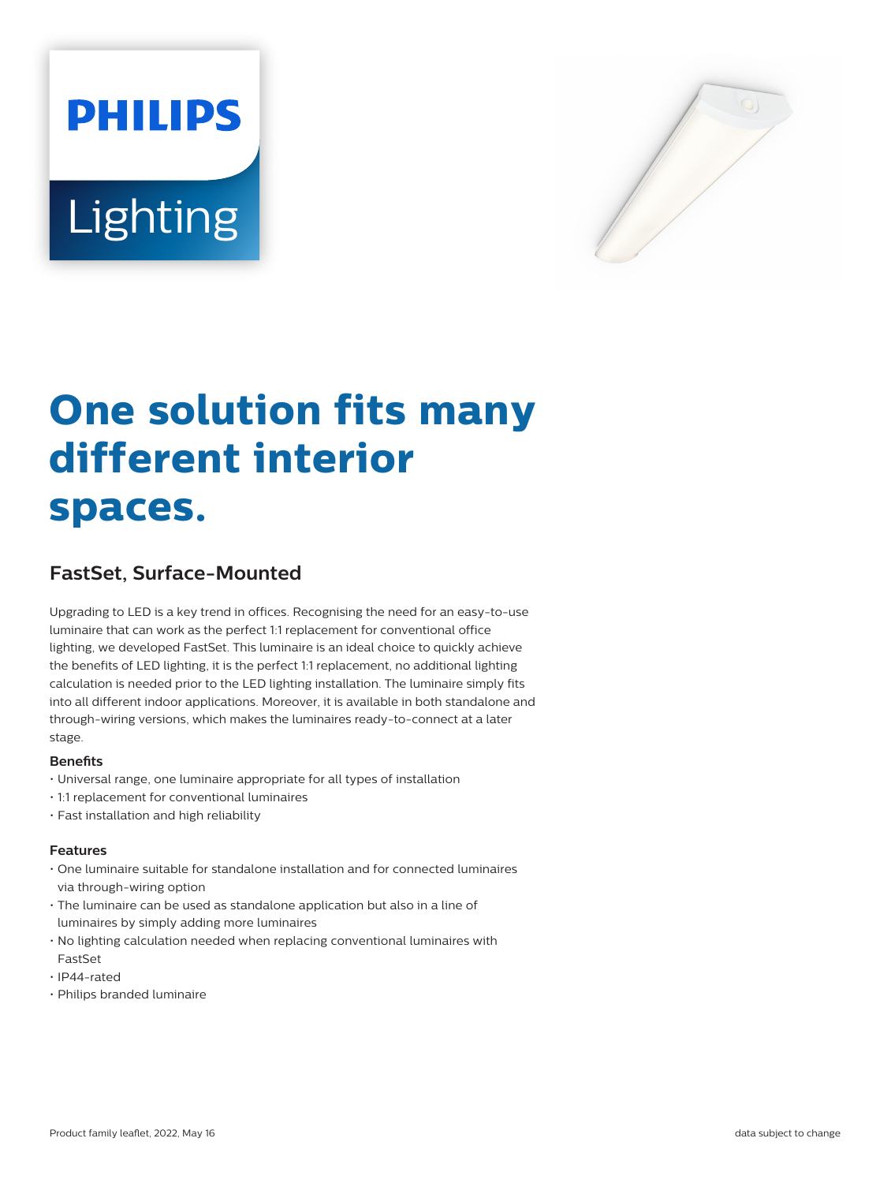



# **One solution fits many different interior spaces.**

# **FastSet, Surface-Mounted**

Upgrading to LED is a key trend in offices. Recognising the need for an easy-to-use luminaire that can work as the perfect 1:1 replacement for conventional office lighting, we developed FastSet. This luminaire is an ideal choice to quickly achieve the benefits of LED lighting, it is the perfect 1:1 replacement, no additional lighting calculation is needed prior to the LED lighting installation. The luminaire simply fits into all different indoor applications. Moreover, it is available in both standalone and through-wiring versions, which makes the luminaires ready-to-connect at a later stage.

#### **Benefits**

- Universal range, one luminaire appropriate for all types of installation
- 1:1 replacement for conventional luminaires
- Fast installation and high reliability

#### **Features**

- One luminaire suitable for standalone installation and for connected luminaires via through-wiring option
- The luminaire can be used as standalone application but also in a line of luminaires by simply adding more luminaires
- No lighting calculation needed when replacing conventional luminaires with FastSet
- IP44-rated
- Philips branded luminaire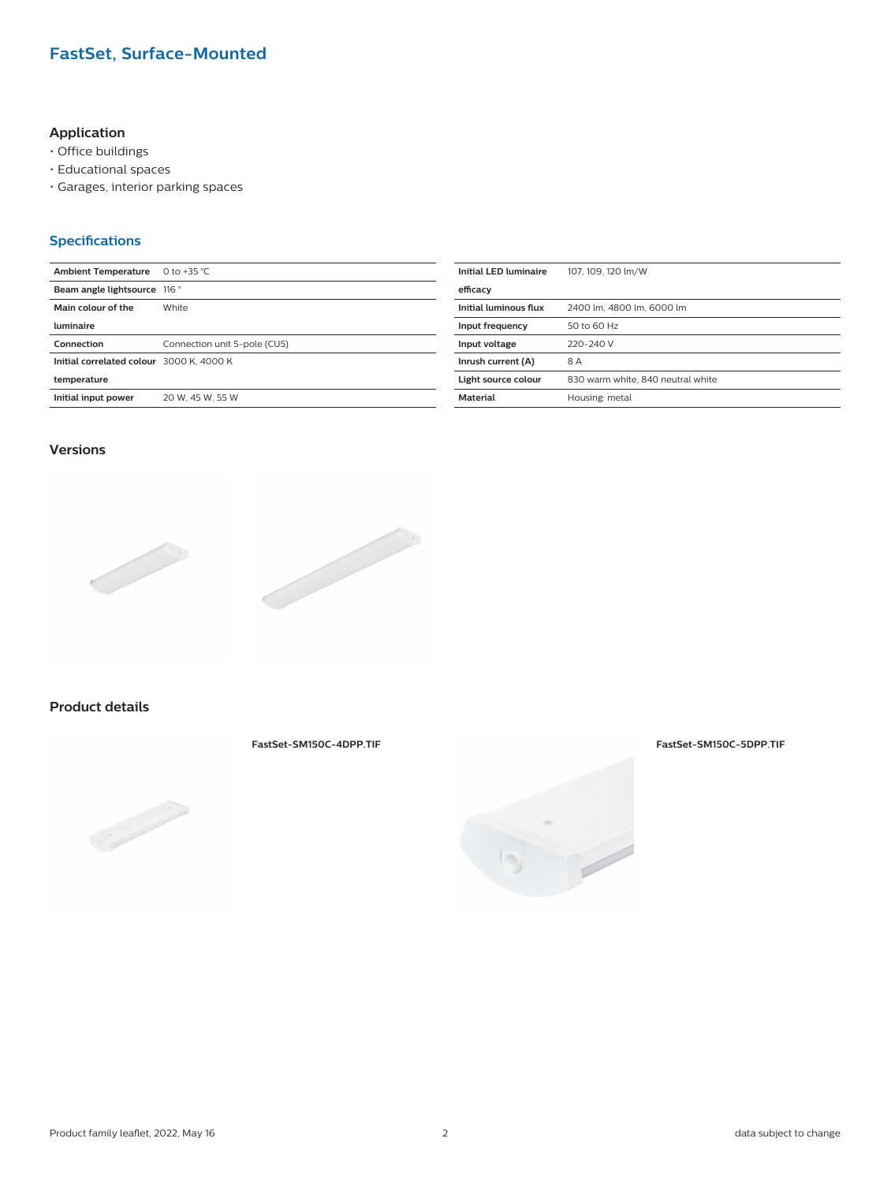## **FastSet, Surface-Mounted**

### **Application**

- Office buildings
- Educational spaces
- Garages, interior parking spaces

#### **Specifications**

| <b>Ambient Temperature</b>               | 0 to +35 $°C$                | <b>Initial LED luminaire</b> | 107, 109, 120 lm/W                |
|------------------------------------------|------------------------------|------------------------------|-----------------------------------|
| Beam angle lightsource 116 °             |                              | efficacy                     |                                   |
| Main colour of the                       | White                        | Initial luminous flux        | 2400 lm, 4800 lm, 6000 lm         |
| luminaire                                |                              | Input frequency              | 50 to 60 Hz                       |
| Connection                               | Connection unit 5-pole (CU5) | Input voltage                | 220-240 V                         |
| Initial correlated colour 3000 K, 4000 K |                              | Inrush current (A)           | 8A                                |
| temperature                              |                              | Light source colour          | 830 warm white, 840 neutral white |
| Initial input power                      | 20 W. 45 W. 55 W             | <b>Material</b>              | Housing: metal                    |
|                                          |                              |                              |                                   |

#### **Versions**



#### **Product details**

**FastSet-SM150C-4DPP.TIF FastSet-SM150C-5DPP.TIF**



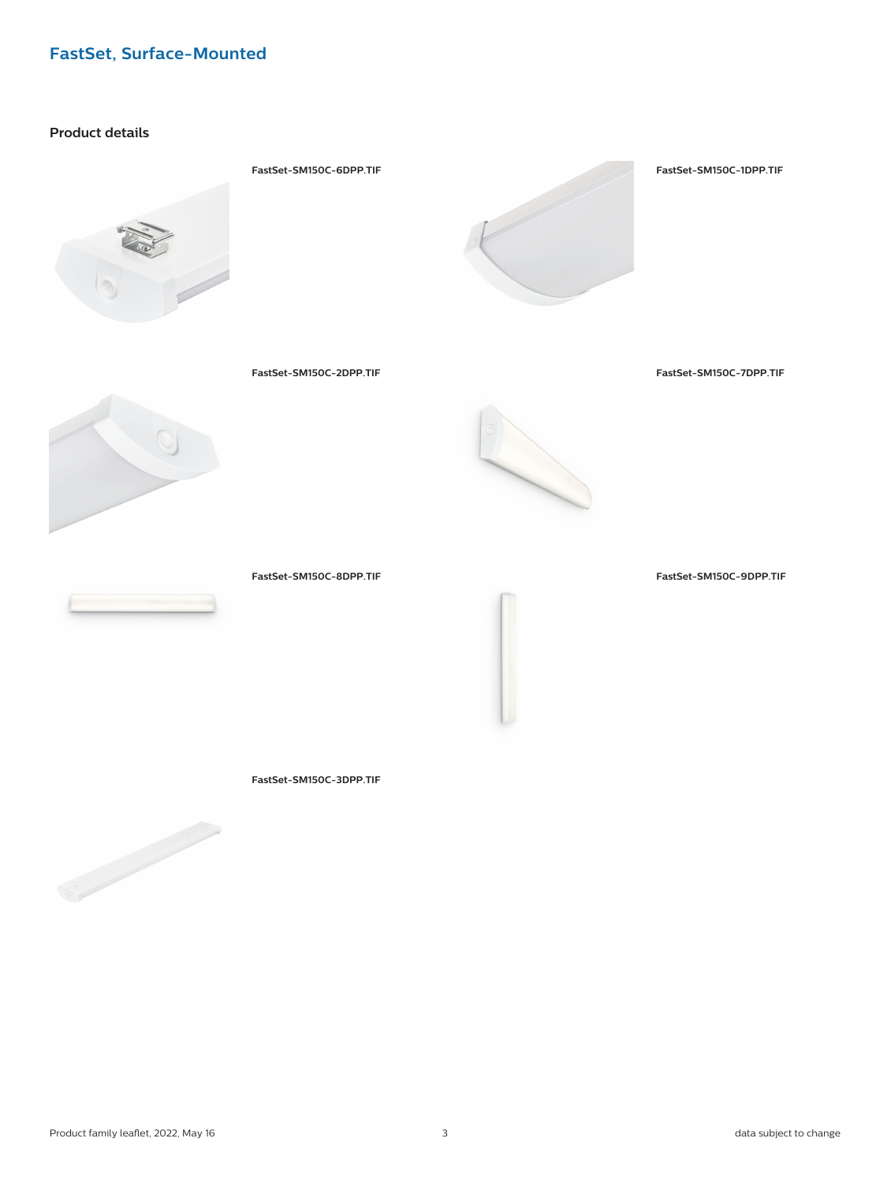# **FastSet, Surface-Mounted**

#### **Product details**





**FastSet-SM150C-2DPP.TIF FastSet-SM150C-7DPP.TIF**





**FastSet-SM150C-8DPP.TIF FastSet-SM150C-9DPP.TIF**

**FastSet-SM150C-3DPP.TIF**